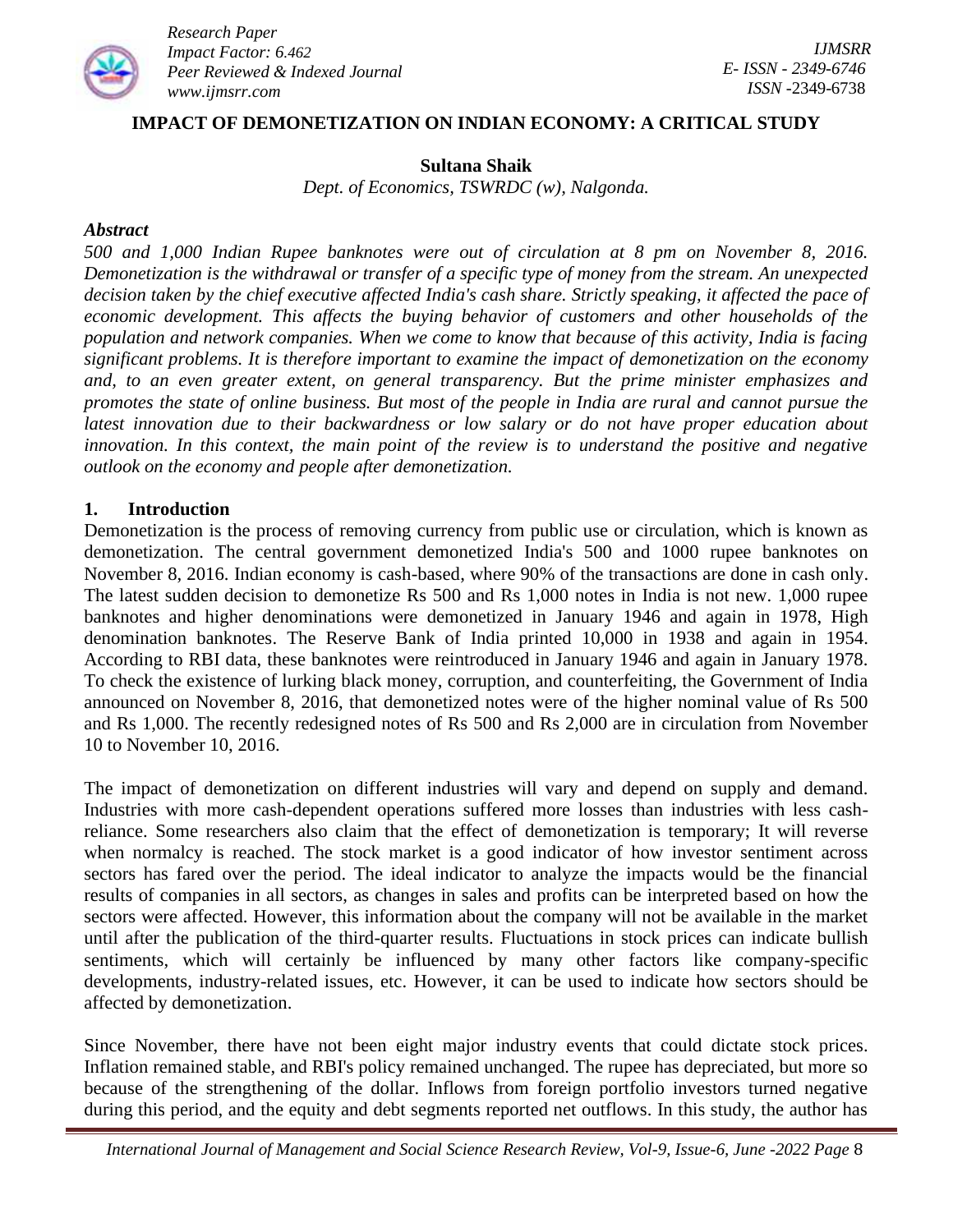

#### **IMPACT OF DEMONETIZATION ON INDIAN ECONOMY: A CRITICAL STUDY**

#### **Sultana Shaik**

*Dept. of Economics, TSWRDC (w), Nalgonda.*

#### *Abstract*

*500 and 1,000 Indian Rupee banknotes were out of circulation at 8 pm on November 8, 2016. Demonetization is the withdrawal or transfer of a specific type of money from the stream. An unexpected decision taken by the chief executive affected India's cash share. Strictly speaking, it affected the pace of economic development. This affects the buying behavior of customers and other households of the population and network companies. When we come to know that because of this activity, India is facing significant problems. It is therefore important to examine the impact of demonetization on the economy and, to an even greater extent, on general transparency. But the prime minister emphasizes and promotes the state of online business. But most of the people in India are rural and cannot pursue the latest innovation due to their backwardness or low salary or do not have proper education about innovation. In this context, the main point of the review is to understand the positive and negative outlook on the economy and people after demonetization.*

#### **1. Introduction**

Demonetization is the process of removing currency from public use or circulation, which is known as demonetization. The central government demonetized India's 500 and 1000 rupee banknotes on November 8, 2016. Indian economy is cash-based, where 90% of the transactions are done in cash only. The latest sudden decision to demonetize Rs 500 and Rs 1,000 notes in India is not new. 1,000 rupee banknotes and higher denominations were demonetized in January 1946 and again in 1978, High denomination banknotes. The Reserve Bank of India printed 10,000 in 1938 and again in 1954. According to RBI data, these banknotes were reintroduced in January 1946 and again in January 1978. To check the existence of lurking black money, corruption, and counterfeiting, the Government of India announced on November 8, 2016, that demonetized notes were of the higher nominal value of Rs 500 and Rs 1,000. The recently redesigned notes of Rs 500 and Rs 2,000 are in circulation from November 10 to November 10, 2016.

The impact of demonetization on different industries will vary and depend on supply and demand. Industries with more cash-dependent operations suffered more losses than industries with less cashreliance. Some researchers also claim that the effect of demonetization is temporary; It will reverse when normalcy is reached. The stock market is a good indicator of how investor sentiment across sectors has fared over the period. The ideal indicator to analyze the impacts would be the financial results of companies in all sectors, as changes in sales and profits can be interpreted based on how the sectors were affected. However, this information about the company will not be available in the market until after the publication of the third-quarter results. Fluctuations in stock prices can indicate bullish sentiments, which will certainly be influenced by many other factors like company-specific developments, industry-related issues, etc. However, it can be used to indicate how sectors should be affected by demonetization.

Since November, there have not been eight major industry events that could dictate stock prices. Inflation remained stable, and RBI's policy remained unchanged. The rupee has depreciated, but more so because of the strengthening of the dollar. Inflows from foreign portfolio investors turned negative during this period, and the equity and debt segments reported net outflows. In this study, the author has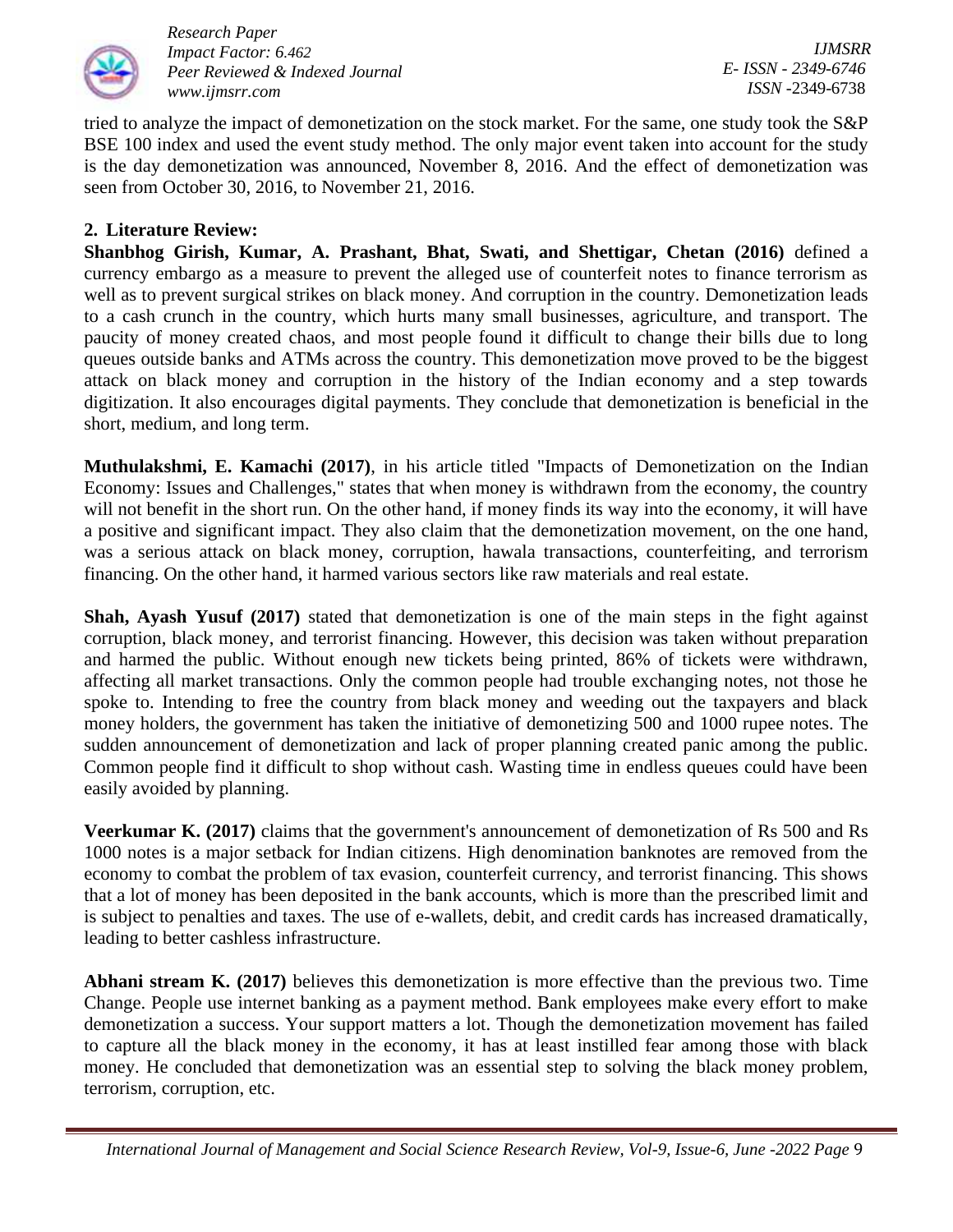

tried to analyze the impact of demonetization on the stock market. For the same, one study took the S&P BSE 100 index and used the event study method. The only major event taken into account for the study is the day demonetization was announced, November 8, 2016. And the effect of demonetization was seen from October 30, 2016, to November 21, 2016.

## **2. Literature Review:**

**Shanbhog Girish, Kumar, A. Prashant, Bhat, Swati, and Shettigar, Chetan (2016)** defined a currency embargo as a measure to prevent the alleged use of counterfeit notes to finance terrorism as well as to prevent surgical strikes on black money. And corruption in the country. Demonetization leads to a cash crunch in the country, which hurts many small businesses, agriculture, and transport. The paucity of money created chaos, and most people found it difficult to change their bills due to long queues outside banks and ATMs across the country. This demonetization move proved to be the biggest attack on black money and corruption in the history of the Indian economy and a step towards digitization. It also encourages digital payments. They conclude that demonetization is beneficial in the short, medium, and long term.

**Muthulakshmi, E. Kamachi (2017)**, in his article titled "Impacts of Demonetization on the Indian Economy: Issues and Challenges," states that when money is withdrawn from the economy, the country will not benefit in the short run. On the other hand, if money finds its way into the economy, it will have a positive and significant impact. They also claim that the demonetization movement, on the one hand, was a serious attack on black money, corruption, hawala transactions, counterfeiting, and terrorism financing. On the other hand, it harmed various sectors like raw materials and real estate.

**Shah, Ayash Yusuf (2017)** stated that demonetization is one of the main steps in the fight against corruption, black money, and terrorist financing. However, this decision was taken without preparation and harmed the public. Without enough new tickets being printed, 86% of tickets were withdrawn, affecting all market transactions. Only the common people had trouble exchanging notes, not those he spoke to. Intending to free the country from black money and weeding out the taxpayers and black money holders, the government has taken the initiative of demonetizing 500 and 1000 rupee notes. The sudden announcement of demonetization and lack of proper planning created panic among the public. Common people find it difficult to shop without cash. Wasting time in endless queues could have been easily avoided by planning.

**Veerkumar K. (2017)** claims that the government's announcement of demonetization of Rs 500 and Rs 1000 notes is a major setback for Indian citizens. High denomination banknotes are removed from the economy to combat the problem of tax evasion, counterfeit currency, and terrorist financing. This shows that a lot of money has been deposited in the bank accounts, which is more than the prescribed limit and is subject to penalties and taxes. The use of e-wallets, debit, and credit cards has increased dramatically, leading to better cashless infrastructure.

**Abhani stream K. (2017)** believes this demonetization is more effective than the previous two. Time Change. People use internet banking as a payment method. Bank employees make every effort to make demonetization a success. Your support matters a lot. Though the demonetization movement has failed to capture all the black money in the economy, it has at least instilled fear among those with black money. He concluded that demonetization was an essential step to solving the black money problem, terrorism, corruption, etc.

 *International Journal of Management and Social Science Research Review, Vol-9, Issue-6, June -2022 Page* 9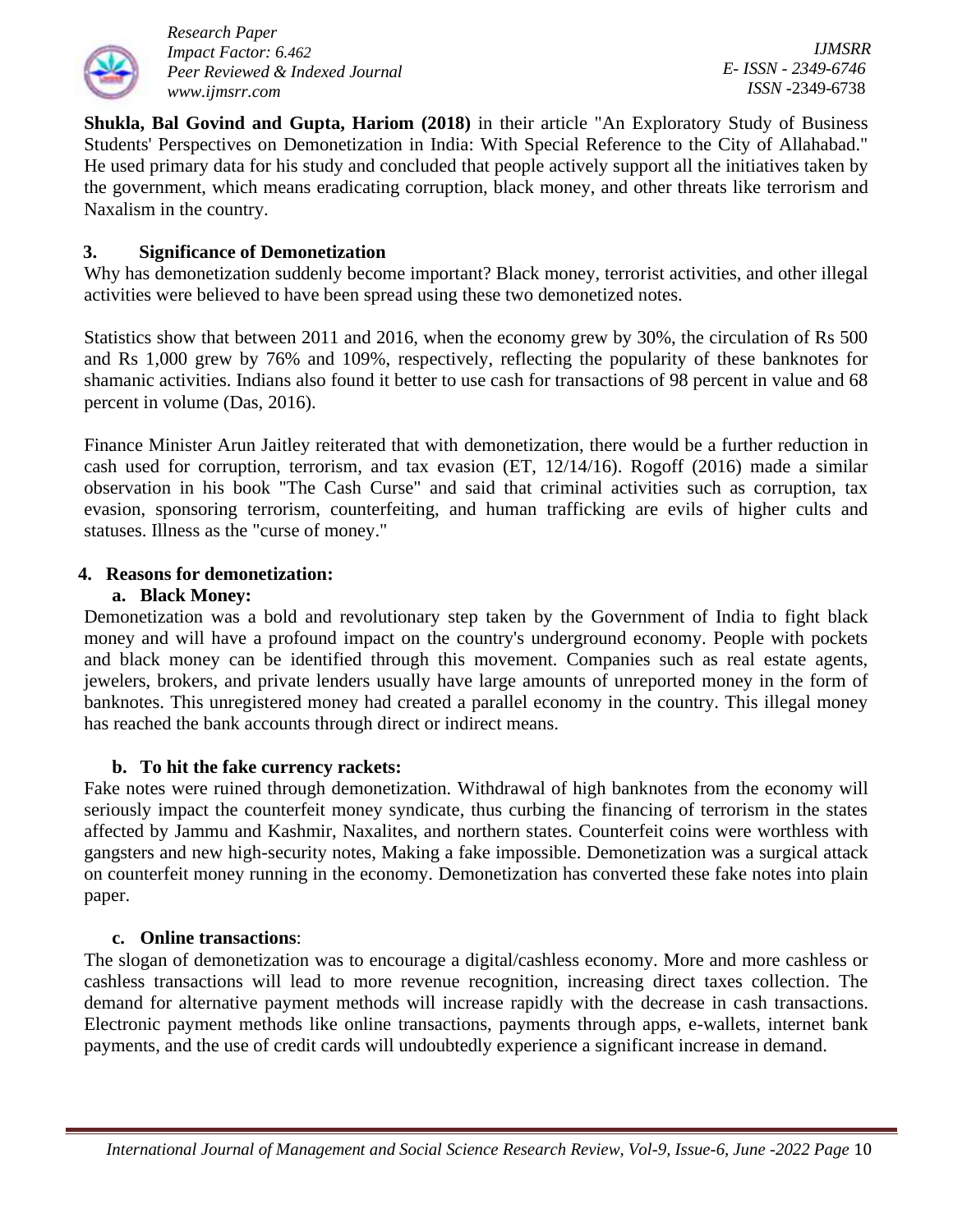

*IJMSRR E- ISSN - 2349-6746 ISSN -*2349-6738

**Shukla, Bal Govind and Gupta, Hariom (2018)** in their article "An Exploratory Study of Business Students' Perspectives on Demonetization in India: With Special Reference to the City of Allahabad." He used primary data for his study and concluded that people actively support all the initiatives taken by the government, which means eradicating corruption, black money, and other threats like terrorism and Naxalism in the country.

## **3. Significance of Demonetization**

Why has demonetization suddenly become important? Black money, terrorist activities, and other illegal activities were believed to have been spread using these two demonetized notes.

Statistics show that between 2011 and 2016, when the economy grew by 30%, the circulation of Rs 500 and Rs 1,000 grew by 76% and 109%, respectively, reflecting the popularity of these banknotes for shamanic activities. Indians also found it better to use cash for transactions of 98 percent in value and 68 percent in volume (Das, 2016).

Finance Minister Arun Jaitley reiterated that with demonetization, there would be a further reduction in cash used for corruption, terrorism, and tax evasion (ET, 12/14/16). Rogoff (2016) made a similar observation in his book "The Cash Curse" and said that criminal activities such as corruption, tax evasion, sponsoring terrorism, counterfeiting, and human trafficking are evils of higher cults and statuses. Illness as the "curse of money."

### **4. Reasons for demonetization:**

### **a. Black Money:**

Demonetization was a bold and revolutionary step taken by the Government of India to fight black money and will have a profound impact on the country's underground economy. People with pockets and black money can be identified through this movement. Companies such as real estate agents, jewelers, brokers, and private lenders usually have large amounts of unreported money in the form of banknotes. This unregistered money had created a parallel economy in the country. This illegal money has reached the bank accounts through direct or indirect means.

### **b. To hit the fake currency rackets:**

Fake notes were ruined through demonetization. Withdrawal of high banknotes from the economy will seriously impact the counterfeit money syndicate, thus curbing the financing of terrorism in the states affected by Jammu and Kashmir, Naxalites, and northern states. Counterfeit coins were worthless with gangsters and new high-security notes, Making a fake impossible. Demonetization was a surgical attack on counterfeit money running in the economy. Demonetization has converted these fake notes into plain paper.

### **c. Online transactions**:

The slogan of demonetization was to encourage a digital/cashless economy. More and more cashless or cashless transactions will lead to more revenue recognition, increasing direct taxes collection. The demand for alternative payment methods will increase rapidly with the decrease in cash transactions. Electronic payment methods like online transactions, payments through apps, e-wallets, internet bank payments, and the use of credit cards will undoubtedly experience a significant increase in demand.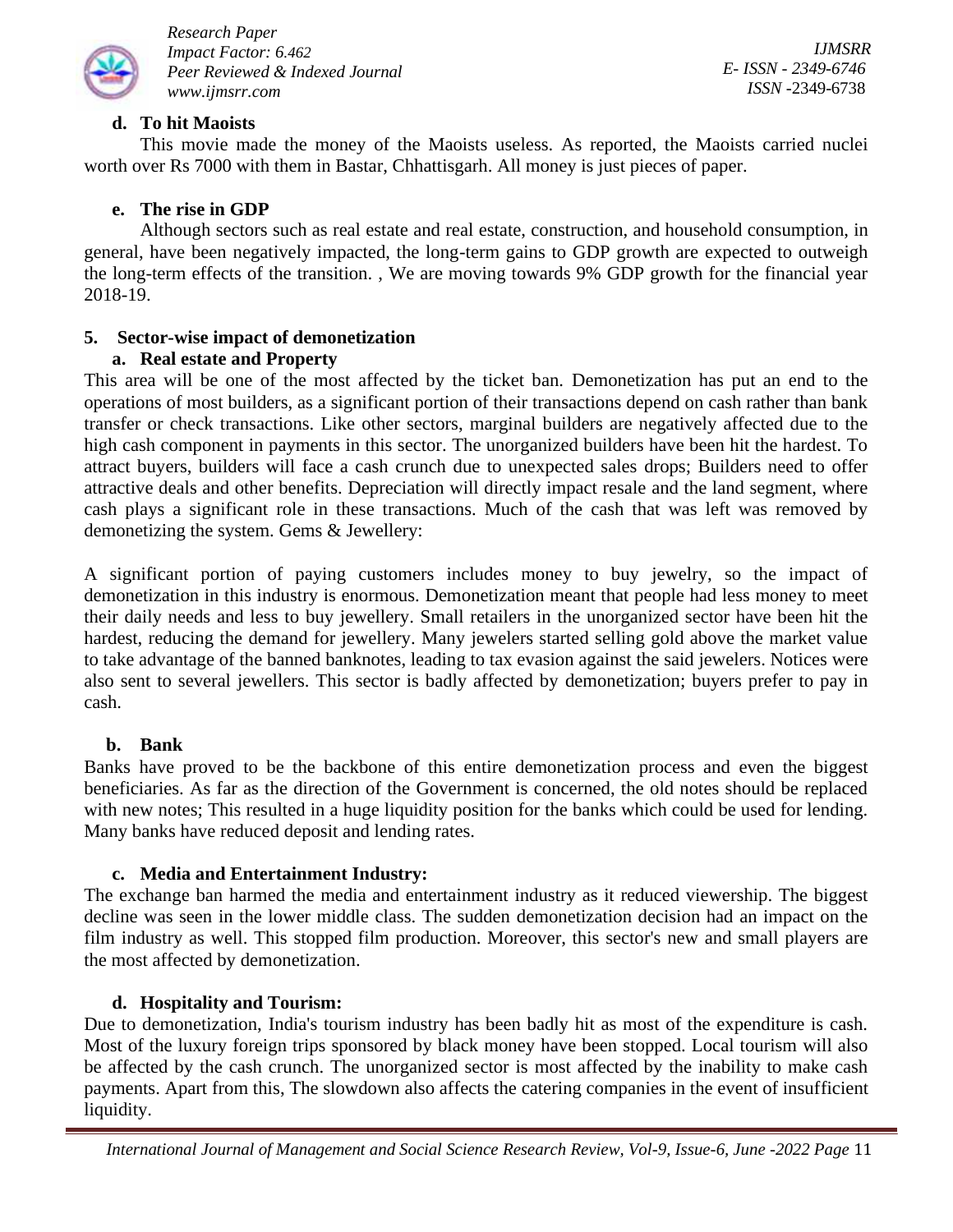

*IJMSRR E- ISSN - 2349-6746 ISSN -*2349-6738

## **d. To hit Maoists**

This movie made the money of the Maoists useless. As reported, the Maoists carried nuclei worth over Rs 7000 with them in Bastar, Chhattisgarh. All money is just pieces of paper.

## **e. The rise in GDP**

Although sectors such as real estate and real estate, construction, and household consumption, in general, have been negatively impacted, the long-term gains to GDP growth are expected to outweigh the long-term effects of the transition. , We are moving towards 9% GDP growth for the financial year 2018-19.

# **5. Sector-wise impact of demonetization**

### **a. Real estate and Property**

This area will be one of the most affected by the ticket ban. Demonetization has put an end to the operations of most builders, as a significant portion of their transactions depend on cash rather than bank transfer or check transactions. Like other sectors, marginal builders are negatively affected due to the high cash component in payments in this sector. The unorganized builders have been hit the hardest. To attract buyers, builders will face a cash crunch due to unexpected sales drops; Builders need to offer attractive deals and other benefits. Depreciation will directly impact resale and the land segment, where cash plays a significant role in these transactions. Much of the cash that was left was removed by demonetizing the system. Gems & Jewellery:

A significant portion of paying customers includes money to buy jewelry, so the impact of demonetization in this industry is enormous. Demonetization meant that people had less money to meet their daily needs and less to buy jewellery. Small retailers in the unorganized sector have been hit the hardest, reducing the demand for jewellery. Many jewelers started selling gold above the market value to take advantage of the banned banknotes, leading to tax evasion against the said jewelers. Notices were also sent to several jewellers. This sector is badly affected by demonetization; buyers prefer to pay in cash.

### **b. Bank**

Banks have proved to be the backbone of this entire demonetization process and even the biggest beneficiaries. As far as the direction of the Government is concerned, the old notes should be replaced with new notes; This resulted in a huge liquidity position for the banks which could be used for lending. Many banks have reduced deposit and lending rates.

### **c. Media and Entertainment Industry:**

The exchange ban harmed the media and entertainment industry as it reduced viewership. The biggest decline was seen in the lower middle class. The sudden demonetization decision had an impact on the film industry as well. This stopped film production. Moreover, this sector's new and small players are the most affected by demonetization.

# **d. Hospitality and Tourism:**

Due to demonetization, India's tourism industry has been badly hit as most of the expenditure is cash. Most of the luxury foreign trips sponsored by black money have been stopped. Local tourism will also be affected by the cash crunch. The unorganized sector is most affected by the inability to make cash payments. Apart from this, The slowdown also affects the catering companies in the event of insufficient liquidity.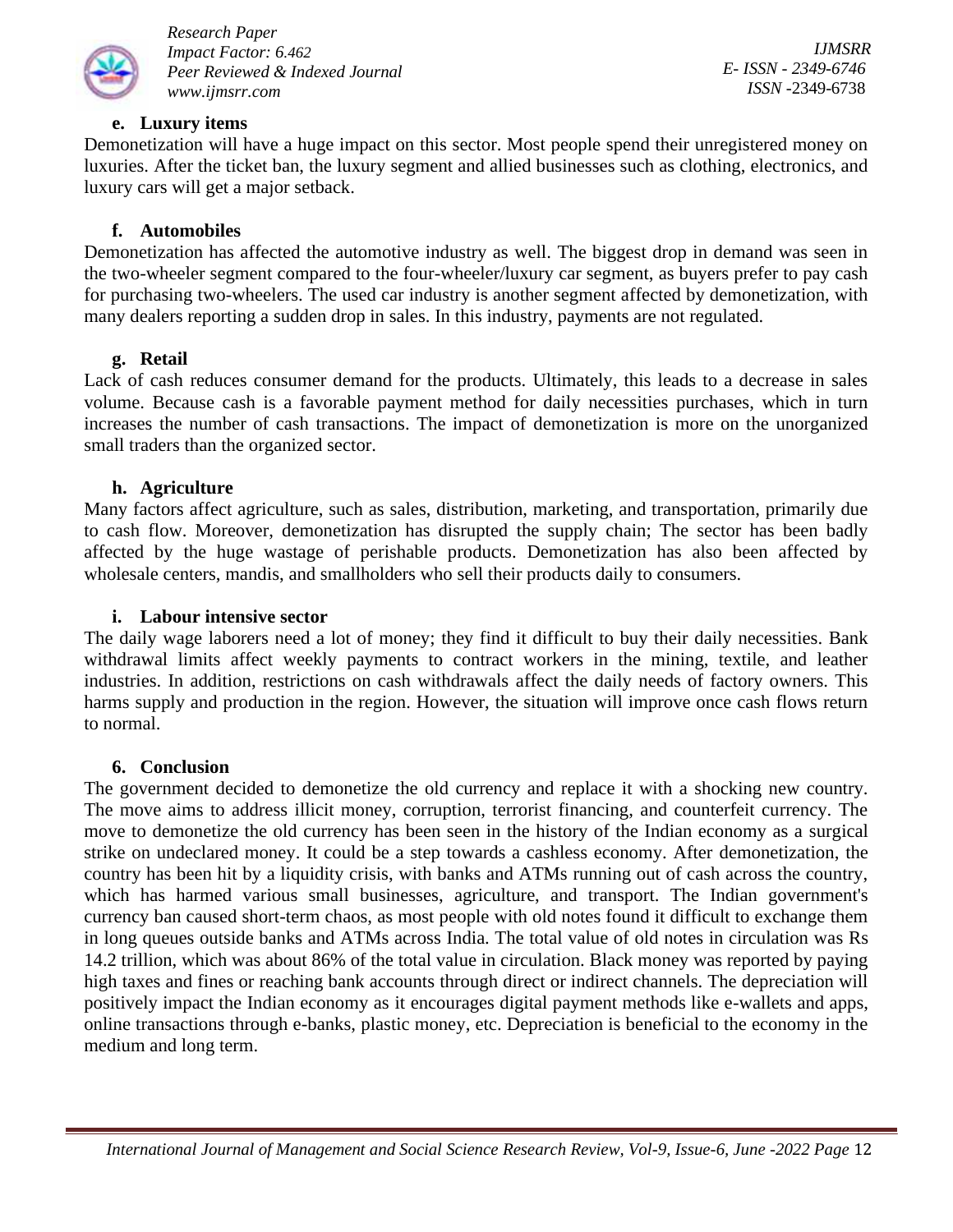

*IJMSRR E- ISSN - 2349-6746 ISSN -*2349-6738

#### **e. Luxury items**

Demonetization will have a huge impact on this sector. Most people spend their unregistered money on luxuries. After the ticket ban, the luxury segment and allied businesses such as clothing, electronics, and luxury cars will get a major setback.

#### **f. Automobiles**

Demonetization has affected the automotive industry as well. The biggest drop in demand was seen in the two-wheeler segment compared to the four-wheeler/luxury car segment, as buyers prefer to pay cash for purchasing two-wheelers. The used car industry is another segment affected by demonetization, with many dealers reporting a sudden drop in sales. In this industry, payments are not regulated.

#### **g. Retail**

Lack of cash reduces consumer demand for the products. Ultimately, this leads to a decrease in sales volume. Because cash is a favorable payment method for daily necessities purchases, which in turn increases the number of cash transactions. The impact of demonetization is more on the unorganized small traders than the organized sector.

#### **h. Agriculture**

Many factors affect agriculture, such as sales, distribution, marketing, and transportation, primarily due to cash flow. Moreover, demonetization has disrupted the supply chain; The sector has been badly affected by the huge wastage of perishable products. Demonetization has also been affected by wholesale centers, mandis, and smallholders who sell their products daily to consumers.

#### **i. Labour intensive sector**

The daily wage laborers need a lot of money; they find it difficult to buy their daily necessities. Bank withdrawal limits affect weekly payments to contract workers in the mining, textile, and leather industries. In addition, restrictions on cash withdrawals affect the daily needs of factory owners. This harms supply and production in the region. However, the situation will improve once cash flows return to normal.

#### **6. Conclusion**

The government decided to demonetize the old currency and replace it with a shocking new country. The move aims to address illicit money, corruption, terrorist financing, and counterfeit currency. The move to demonetize the old currency has been seen in the history of the Indian economy as a surgical strike on undeclared money. It could be a step towards a cashless economy. After demonetization, the country has been hit by a liquidity crisis, with banks and ATMs running out of cash across the country, which has harmed various small businesses, agriculture, and transport. The Indian government's currency ban caused short-term chaos, as most people with old notes found it difficult to exchange them in long queues outside banks and ATMs across India. The total value of old notes in circulation was Rs 14.2 trillion, which was about 86% of the total value in circulation. Black money was reported by paying high taxes and fines or reaching bank accounts through direct or indirect channels. The depreciation will positively impact the Indian economy as it encourages digital payment methods like e-wallets and apps, online transactions through e-banks, plastic money, etc. Depreciation is beneficial to the economy in the medium and long term.